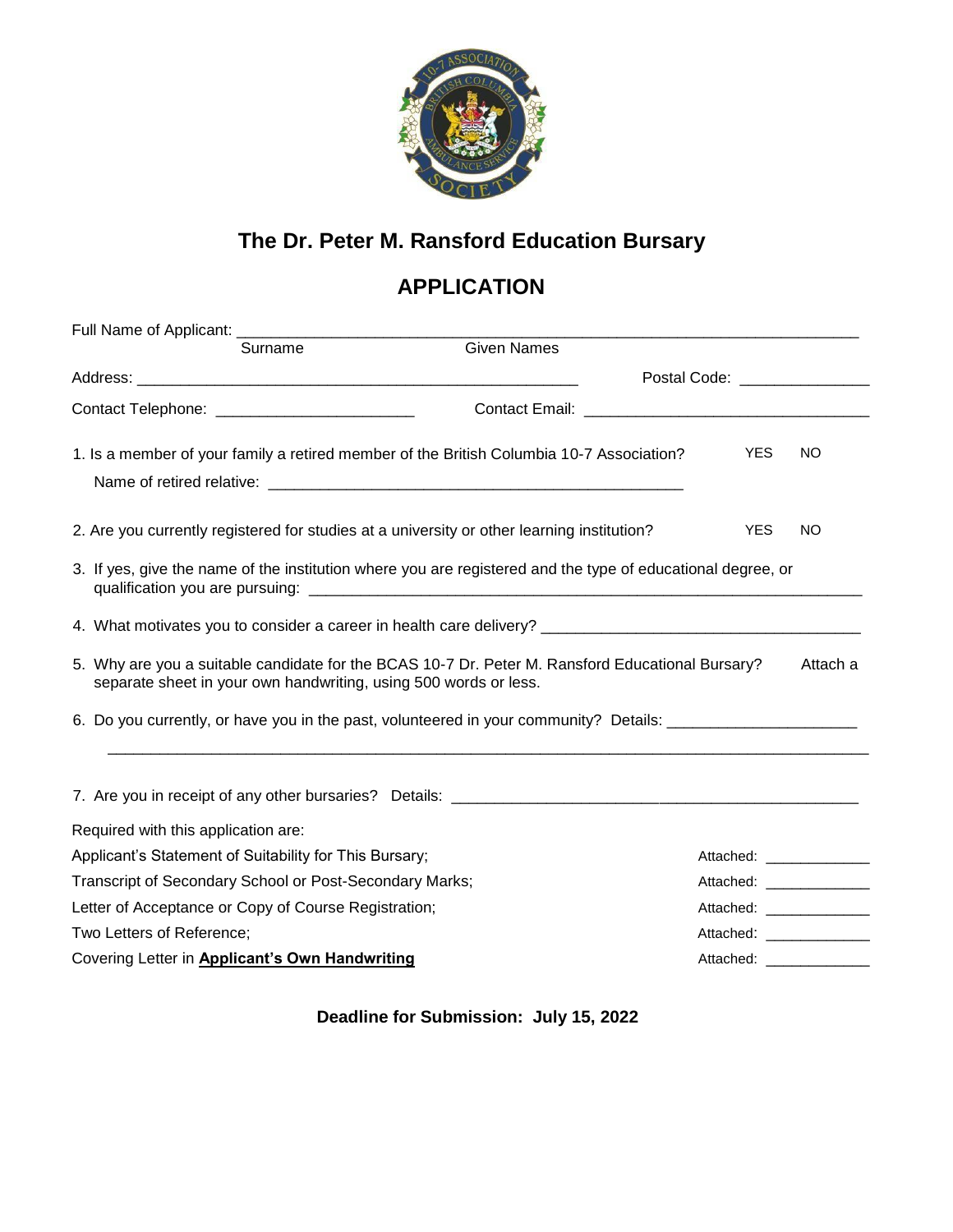

## **The Dr. Peter M. Ransford Education Bursary**

## **APPLICATION**

| Full Name of Applicant: _____                                                                                                                                                    |                    |                            |           |  |
|----------------------------------------------------------------------------------------------------------------------------------------------------------------------------------|--------------------|----------------------------|-----------|--|
| Surname                                                                                                                                                                          | <b>Given Names</b> |                            |           |  |
|                                                                                                                                                                                  |                    | Postal Code: New York 1999 |           |  |
| Contact Telephone: ____________________________                                                                                                                                  |                    |                            |           |  |
| 1. Is a member of your family a retired member of the British Columbia 10-7 Association?                                                                                         |                    | <b>YES</b>                 | NO        |  |
|                                                                                                                                                                                  |                    |                            |           |  |
| 2. Are you currently registered for studies at a university or other learning institution?                                                                                       |                    | <b>YES</b>                 | <b>NO</b> |  |
| 3. If yes, give the name of the institution where you are registered and the type of educational degree, or                                                                      |                    |                            |           |  |
|                                                                                                                                                                                  |                    |                            |           |  |
| 5. Why are you a suitable candidate for the BCAS 10-7 Dr. Peter M. Ransford Educational Bursary?<br>Attach a<br>separate sheet in your own handwriting, using 500 words or less. |                    |                            |           |  |
| 6. Do you currently, or have you in the past, volunteered in your community? Details: ____________________                                                                       |                    |                            |           |  |
|                                                                                                                                                                                  |                    |                            |           |  |
| Required with this application are:                                                                                                                                              |                    |                            |           |  |
| Applicant's Statement of Suitability for This Bursary;                                                                                                                           |                    | Attached: _______________  |           |  |
| Transcript of Secondary School or Post-Secondary Marks;                                                                                                                          |                    | Attached: _______________  |           |  |
| Letter of Acceptance or Copy of Course Registration;                                                                                                                             |                    | Attached: _______________  |           |  |
| Two Letters of Reference;                                                                                                                                                        |                    | Attached: _______________  |           |  |
| Covering Letter in Applicant's Own Handwriting                                                                                                                                   |                    | Attached: ________________ |           |  |

**Deadline for Submission: July 15, 2022**